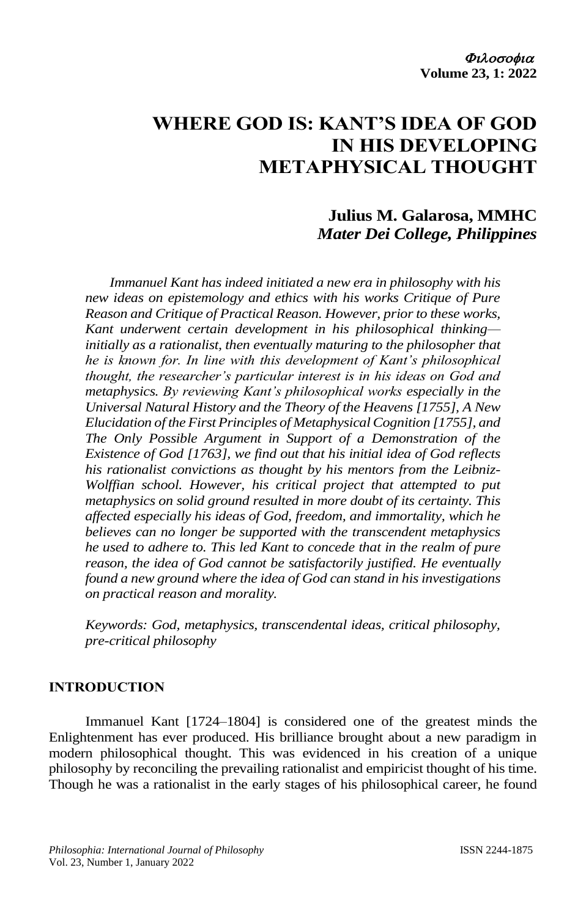# **WHERE GOD IS: KANT'S IDEA OF GOD IN HIS DEVELOPING METAPHYSICAL THOUGHT**

## **Julius M. Galarosa, MMHC** *Mater Dei College, Philippines*

*Immanuel Kant has indeed initiated a new era in philosophy with his new ideas on epistemology and ethics with his works Critique of Pure Reason and Critique of Practical Reason. However, prior to these works, Kant underwent certain development in his philosophical thinking initially as a rationalist, then eventually maturing to the philosopher that he is known for. In line with this development of Kant's philosophical thought, the researcher's particular interest is in his ideas on God and metaphysics. By reviewing Kant's philosophical works especially in the Universal Natural History and the Theory of the Heavens [1755], A New Elucidation of the First Principles of Metaphysical Cognition [1755], and The Only Possible Argument in Support of a Demonstration of the Existence of God [1763], we find out that his initial idea of God reflects his rationalist convictions as thought by his mentors from the Leibniz-Wolffian school. However, his critical project that attempted to put metaphysics on solid ground resulted in more doubt of its certainty. This affected especially his ideas of God, freedom, and immortality, which he believes can no longer be supported with the transcendent metaphysics he used to adhere to. This led Kant to concede that in the realm of pure reason, the idea of God cannot be satisfactorily justified. He eventually found a new ground where the idea of God can stand in his investigations on practical reason and morality.* 

*Keywords: God, metaphysics, transcendental ideas, critical philosophy, pre-critical philosophy*

## **INTRODUCTION**

Immanuel Kant [1724–1804] is considered one of the greatest minds the Enlightenment has ever produced. His brilliance brought about a new paradigm in modern philosophical thought. This was evidenced in his creation of a unique philosophy by reconciling the prevailing rationalist and empiricist thought of his time. Though he was a rationalist in the early stages of his philosophical career, he found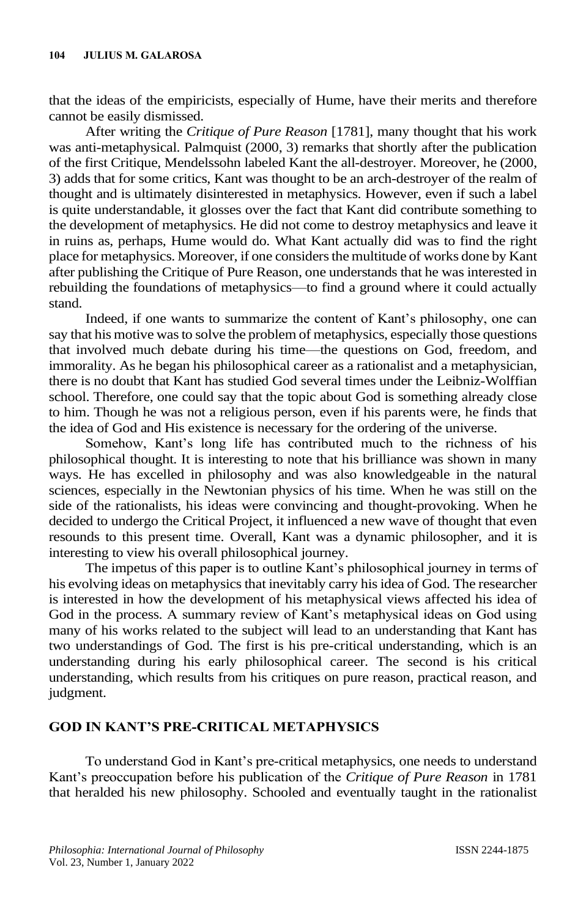that the ideas of the empiricists, especially of Hume, have their merits and therefore cannot be easily dismissed.

After writing the *Critique of Pure Reason* [1781], many thought that his work was anti-metaphysical. Palmquist (2000, 3) remarks that shortly after the publication of the first Critique, Mendelssohn labeled Kant the all-destroyer. Moreover, he (2000, 3) adds that for some critics, Kant was thought to be an arch-destroyer of the realm of thought and is ultimately disinterested in metaphysics. However, even if such a label is quite understandable, it glosses over the fact that Kant did contribute something to the development of metaphysics. He did not come to destroy metaphysics and leave it in ruins as, perhaps, Hume would do. What Kant actually did was to find the right place for metaphysics. Moreover, if one considers the multitude of works done by Kant after publishing the Critique of Pure Reason, one understands that he was interested in rebuilding the foundations of metaphysics—to find a ground where it could actually stand.

Indeed, if one wants to summarize the content of Kant's philosophy, one can say that his motive was to solve the problem of metaphysics, especially those questions that involved much debate during his time—the questions on God, freedom, and immorality. As he began his philosophical career as a rationalist and a metaphysician, there is no doubt that Kant has studied God several times under the Leibniz-Wolffian school. Therefore, one could say that the topic about God is something already close to him. Though he was not a religious person, even if his parents were, he finds that the idea of God and His existence is necessary for the ordering of the universe.

Somehow, Kant's long life has contributed much to the richness of his philosophical thought. It is interesting to note that his brilliance was shown in many ways. He has excelled in philosophy and was also knowledgeable in the natural sciences, especially in the Newtonian physics of his time. When he was still on the side of the rationalists, his ideas were convincing and thought-provoking. When he decided to undergo the Critical Project, it influenced a new wave of thought that even resounds to this present time. Overall, Kant was a dynamic philosopher, and it is interesting to view his overall philosophical journey.

The impetus of this paper is to outline Kant's philosophical journey in terms of his evolving ideas on metaphysics that inevitably carry his idea of God. The researcher is interested in how the development of his metaphysical views affected his idea of God in the process. A summary review of Kant's metaphysical ideas on God using many of his works related to the subject will lead to an understanding that Kant has two understandings of God. The first is his pre-critical understanding, which is an understanding during his early philosophical career. The second is his critical understanding, which results from his critiques on pure reason, practical reason, and judgment.

## **GOD IN KANT'S PRE-CRITICAL METAPHYSICS**

To understand God in Kant's pre-critical metaphysics, one needs to understand Kant's preoccupation before his publication of the *Critique of Pure Reason* in 1781 that heralded his new philosophy. Schooled and eventually taught in the rationalist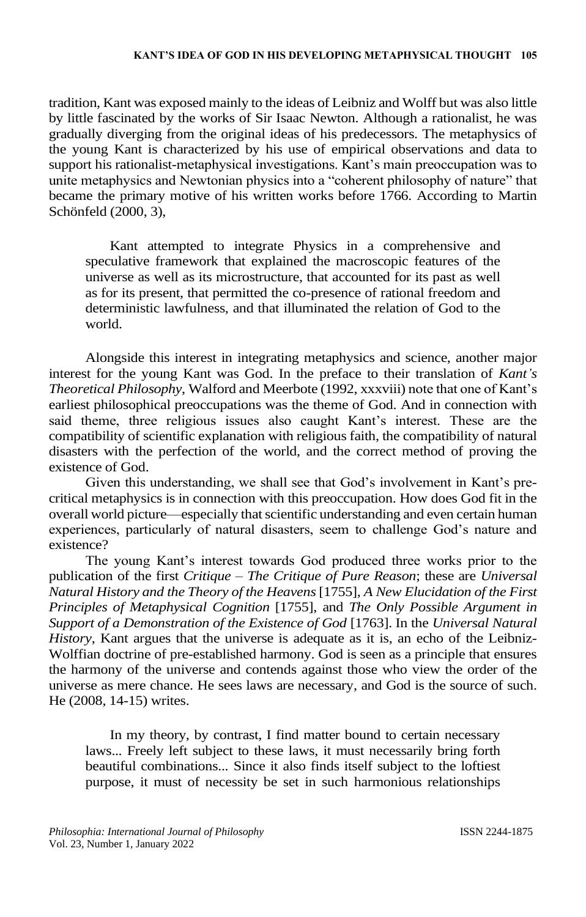tradition, Kant was exposed mainly to the ideas of Leibniz and Wolff but was also little by little fascinated by the works of Sir Isaac Newton. Although a rationalist, he was gradually diverging from the original ideas of his predecessors. The metaphysics of the young Kant is characterized by his use of empirical observations and data to support his rationalist-metaphysical investigations. Kant's main preoccupation was to unite metaphysics and Newtonian physics into a "coherent philosophy of nature" that became the primary motive of his written works before 1766. According to Martin Schönfeld (2000, 3),

Kant attempted to integrate Physics in a comprehensive and speculative framework that explained the macroscopic features of the universe as well as its microstructure, that accounted for its past as well as for its present, that permitted the co-presence of rational freedom and deterministic lawfulness, and that illuminated the relation of God to the world.

Alongside this interest in integrating metaphysics and science, another major interest for the young Kant was God. In the preface to their translation of *Kant's Theoretical Philosophy*, Walford and Meerbote (1992, xxxviii) note that one of Kant's earliest philosophical preoccupations was the theme of God. And in connection with said theme, three religious issues also caught Kant's interest. These are the compatibility of scientific explanation with religious faith, the compatibility of natural disasters with the perfection of the world, and the correct method of proving the existence of God.

Given this understanding, we shall see that God's involvement in Kant's precritical metaphysics is in connection with this preoccupation. How does God fit in the overall world picture—especially that scientific understanding and even certain human experiences, particularly of natural disasters, seem to challenge God's nature and existence?

The young Kant's interest towards God produced three works prior to the publication of the first *Critique* – *The Critique of Pure Reason*; these are *Universal Natural History and the Theory of the Heavens*[1755], *A New Elucidation of the First Principles of Metaphysical Cognition* [1755], and *The Only Possible Argument in Support of a Demonstration of the Existence of God* [1763]. In the *Universal Natural History*, Kant argues that the universe is adequate as it is, an echo of the Leibniz-Wolffian doctrine of pre-established harmony. God is seen as a principle that ensures the harmony of the universe and contends against those who view the order of the universe as mere chance. He sees laws are necessary, and God is the source of such. He (2008, 14-15) writes.

In my theory, by contrast, I find matter bound to certain necessary laws... Freely left subject to these laws, it must necessarily bring forth beautiful combinations... Since it also finds itself subject to the loftiest purpose, it must of necessity be set in such harmonious relationships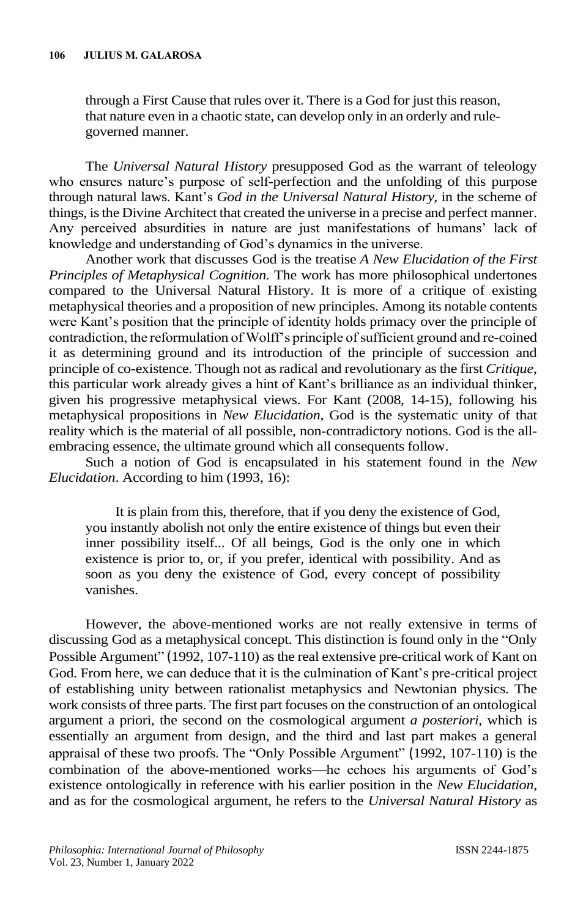through a First Cause that rules over it. There is a God for just this reason, that nature even in a chaotic state, can develop only in an orderly and rulegoverned manner.

The *Universal Natural History* presupposed God as the warrant of teleology who ensures nature's purpose of self-perfection and the unfolding of this purpose through natural laws. Kant's *God in the Universal Natural History*, in the scheme of things, is the Divine Architect that created the universe in a precise and perfect manner. Any perceived absurdities in nature are just manifestations of humans' lack of knowledge and understanding of God's dynamics in the universe.

Another work that discusses God is the treatise *A New Elucidation of the First Principles of Metaphysical Cognition.* The work has more philosophical undertones compared to the Universal Natural History. It is more of a critique of existing metaphysical theories and a proposition of new principles. Among its notable contents were Kant's position that the principle of identity holds primacy over the principle of contradiction, the reformulation of Wolff's principle of sufficient ground and re-coined it as determining ground and its introduction of the principle of succession and principle of co-existence. Though not as radical and revolutionary as the first *Critique*, this particular work already gives a hint of Kant's brilliance as an individual thinker, given his progressive metaphysical views. For Kant (2008, 14-15), following his metaphysical propositions in *New Elucidation*, God is the systematic unity of that reality which is the material of all possible, non-contradictory notions. God is the allembracing essence, the ultimate ground which all consequents follow.

Such a notion of God is encapsulated in his statement found in the *New Elucidation*. According to him (1993, 16):

It is plain from this, therefore, that if you deny the existence of God, you instantly abolish not only the entire existence of things but even their inner possibility itself... Of all beings, God is the only one in which existence is prior to, or, if you prefer, identical with possibility. And as soon as you deny the existence of God, every concept of possibility vanishes.

However, the above-mentioned works are not really extensive in terms of discussing God as a metaphysical concept. This distinction is found only in the "Only Possible Argument" (1992, 107-110) as the real extensive pre-critical work of Kant on God. From here, we can deduce that it is the culmination of Kant's pre-critical project of establishing unity between rationalist metaphysics and Newtonian physics. The work consists of three parts. The first part focuses on the construction of an ontological argument a priori, the second on the cosmological argument *a posteriori*, which is essentially an argument from design, and the third and last part makes a general appraisal of these two proofs. The "Only Possible Argument" (1992, 107-110) is the combination of the above-mentioned works—he echoes his arguments of God's existence ontologically in reference with his earlier position in the *New Elucidation*, and as for the cosmological argument, he refers to the *Universal Natural History* as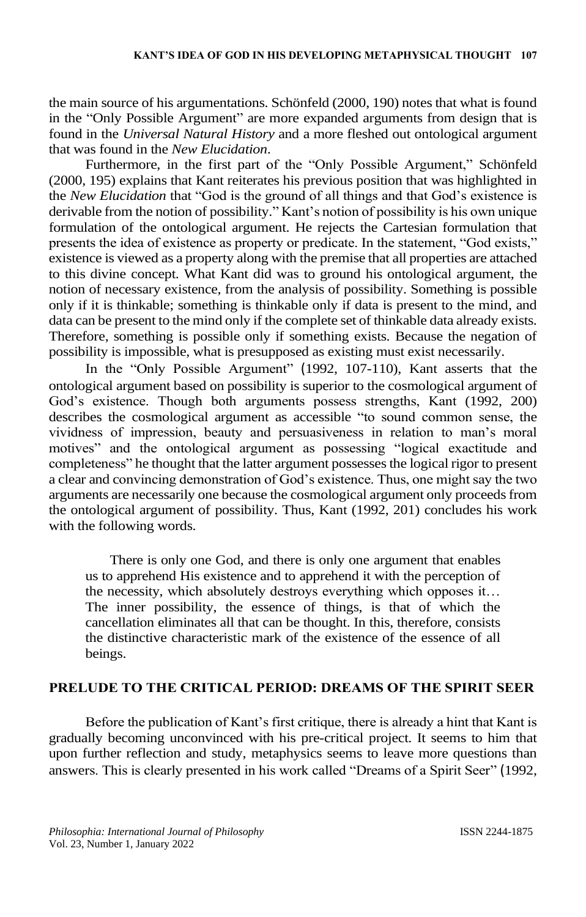the main source of his argumentations. Schönfeld (2000, 190) notes that what is found in the "Only Possible Argument" are more expanded arguments from design that is found in the *Universal Natural History* and a more fleshed out ontological argument that was found in the *New Elucidation*.

Furthermore, in the first part of the "Only Possible Argument," Schönfeld (2000, 195) explains that Kant reiterates his previous position that was highlighted in the *New Elucidation* that "God is the ground of all things and that God's existence is derivable from the notion of possibility." Kant's notion of possibility is his own unique formulation of the ontological argument. He rejects the Cartesian formulation that presents the idea of existence as property or predicate. In the statement, "God exists," existence is viewed as a property along with the premise that all properties are attached to this divine concept. What Kant did was to ground his ontological argument, the notion of necessary existence, from the analysis of possibility. Something is possible only if it is thinkable; something is thinkable only if data is present to the mind, and data can be present to the mind only if the complete set of thinkable data already exists. Therefore, something is possible only if something exists. Because the negation of possibility is impossible, what is presupposed as existing must exist necessarily.

In the "Only Possible Argument" (1992, 107-110), Kant asserts that the ontological argument based on possibility is superior to the cosmological argument of God's existence. Though both arguments possess strengths, Kant (1992, 200) describes the cosmological argument as accessible "to sound common sense, the vividness of impression, beauty and persuasiveness in relation to man's moral motives" and the ontological argument as possessing "logical exactitude and completeness" he thought that the latter argument possesses the logical rigor to present a clear and convincing demonstration of God's existence. Thus, one might say the two arguments are necessarily one because the cosmological argument only proceeds from the ontological argument of possibility. Thus, Kant (1992, 201) concludes his work with the following words.

There is only one God, and there is only one argument that enables us to apprehend His existence and to apprehend it with the perception of the necessity, which absolutely destroys everything which opposes it… The inner possibility, the essence of things, is that of which the cancellation eliminates all that can be thought. In this, therefore, consists the distinctive characteristic mark of the existence of the essence of all beings.

#### **PRELUDE TO THE CRITICAL PERIOD: DREAMS OF THE SPIRIT SEER**

Before the publication of Kant's first critique, there is already a hint that Kant is gradually becoming unconvinced with his pre-critical project. It seems to him that upon further reflection and study, metaphysics seems to leave more questions than answers. This is clearly presented in his work called "Dreams of a Spirit Seer" (1992,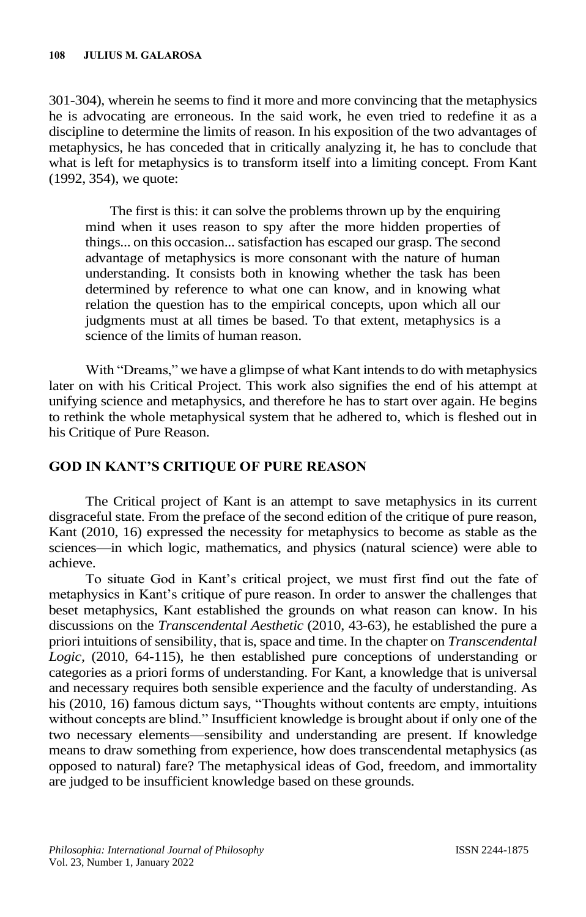301-304), wherein he seems to find it more and more convincing that the metaphysics he is advocating are erroneous. In the said work, he even tried to redefine it as a discipline to determine the limits of reason. In his exposition of the two advantages of metaphysics, he has conceded that in critically analyzing it, he has to conclude that what is left for metaphysics is to transform itself into a limiting concept. From Kant (1992, 354), we quote:

The first is this: it can solve the problems thrown up by the enquiring mind when it uses reason to spy after the more hidden properties of things... on this occasion... satisfaction has escaped our grasp. The second advantage of metaphysics is more consonant with the nature of human understanding. It consists both in knowing whether the task has been determined by reference to what one can know, and in knowing what relation the question has to the empirical concepts, upon which all our judgments must at all times be based. To that extent, metaphysics is a science of the limits of human reason.

With "Dreams," we have a glimpse of what Kant intends to do with metaphysics later on with his Critical Project. This work also signifies the end of his attempt at unifying science and metaphysics, and therefore he has to start over again. He begins to rethink the whole metaphysical system that he adhered to, which is fleshed out in his Critique of Pure Reason.

## **GOD IN KANT'S CRITIQUE OF PURE REASON**

The Critical project of Kant is an attempt to save metaphysics in its current disgraceful state. From the preface of the second edition of the critique of pure reason, Kant (2010, 16) expressed the necessity for metaphysics to become as stable as the sciences—in which logic, mathematics, and physics (natural science) were able to achieve.

To situate God in Kant's critical project, we must first find out the fate of metaphysics in Kant's critique of pure reason. In order to answer the challenges that beset metaphysics, Kant established the grounds on what reason can know. In his discussions on the *Transcendental Aesthetic* (2010, 43-63), he established the pure a priori intuitions of sensibility, that is, space and time. In the chapter on *Transcendental Logic,* (2010, 64-115), he then established pure conceptions of understanding or categories as a priori forms of understanding. For Kant, a knowledge that is universal and necessary requires both sensible experience and the faculty of understanding. As his (2010, 16) famous dictum says, "Thoughts without contents are empty, intuitions without concepts are blind." Insufficient knowledge is brought about if only one of the two necessary elements—sensibility and understanding are present. If knowledge means to draw something from experience, how does transcendental metaphysics (as opposed to natural) fare? The metaphysical ideas of God, freedom, and immortality are judged to be insufficient knowledge based on these grounds.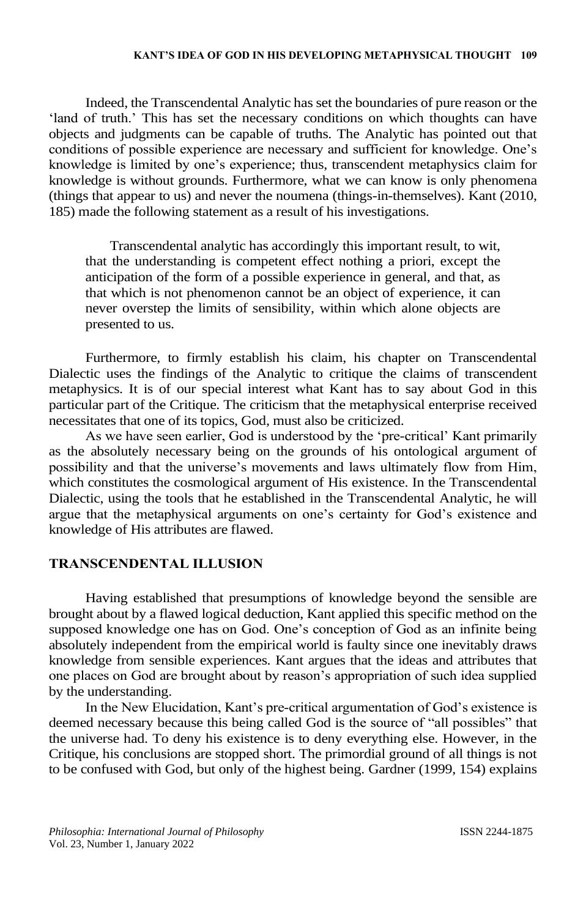#### **KANT'S IDEA OF GOD IN HIS DEVELOPING METAPHYSICAL THOUGHT 109**

Indeed, the Transcendental Analytic has set the boundaries of pure reason or the 'land of truth.' This has set the necessary conditions on which thoughts can have objects and judgments can be capable of truths. The Analytic has pointed out that conditions of possible experience are necessary and sufficient for knowledge. One's knowledge is limited by one's experience; thus, transcendent metaphysics claim for knowledge is without grounds. Furthermore, what we can know is only phenomena (things that appear to us) and never the noumena (things-in-themselves). Kant (2010, 185) made the following statement as a result of his investigations.

Transcendental analytic has accordingly this important result, to wit, that the understanding is competent effect nothing a priori, except the anticipation of the form of a possible experience in general, and that, as that which is not phenomenon cannot be an object of experience, it can never overstep the limits of sensibility, within which alone objects are presented to us.

Furthermore, to firmly establish his claim, his chapter on Transcendental Dialectic uses the findings of the Analytic to critique the claims of transcendent metaphysics. It is of our special interest what Kant has to say about God in this particular part of the Critique. The criticism that the metaphysical enterprise received necessitates that one of its topics, God, must also be criticized.

As we have seen earlier, God is understood by the 'pre-critical' Kant primarily as the absolutely necessary being on the grounds of his ontological argument of possibility and that the universe's movements and laws ultimately flow from Him, which constitutes the cosmological argument of His existence. In the Transcendental Dialectic, using the tools that he established in the Transcendental Analytic, he will argue that the metaphysical arguments on one's certainty for God's existence and knowledge of His attributes are flawed.

#### **TRANSCENDENTAL ILLUSION**

Having established that presumptions of knowledge beyond the sensible are brought about by a flawed logical deduction, Kant applied this specific method on the supposed knowledge one has on God. One's conception of God as an infinite being absolutely independent from the empirical world is faulty since one inevitably draws knowledge from sensible experiences. Kant argues that the ideas and attributes that one places on God are brought about by reason's appropriation of such idea supplied by the understanding.

In the New Elucidation, Kant's pre-critical argumentation of God's existence is deemed necessary because this being called God is the source of "all possibles" that the universe had. To deny his existence is to deny everything else. However, in the Critique, his conclusions are stopped short. The primordial ground of all things is not to be confused with God, but only of the highest being. Gardner (1999, 154) explains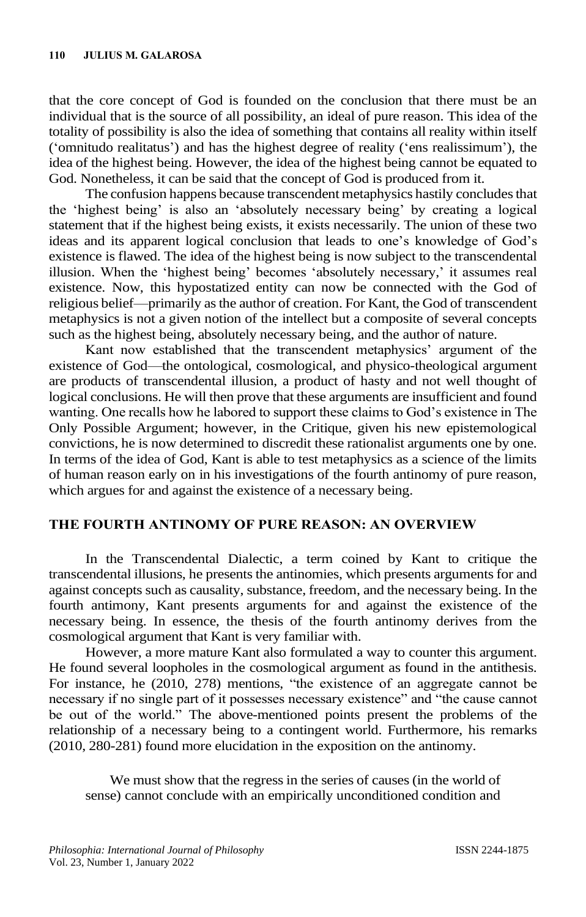that the core concept of God is founded on the conclusion that there must be an individual that is the source of all possibility, an ideal of pure reason. This idea of the totality of possibility is also the idea of something that contains all reality within itself ('omnitudo realitatus') and has the highest degree of reality ('ens realissimum'), the idea of the highest being. However, the idea of the highest being cannot be equated to God. Nonetheless, it can be said that the concept of God is produced from it.

The confusion happens because transcendent metaphysics hastily concludes that the 'highest being' is also an 'absolutely necessary being' by creating a logical statement that if the highest being exists, it exists necessarily. The union of these two ideas and its apparent logical conclusion that leads to one's knowledge of God's existence is flawed. The idea of the highest being is now subject to the transcendental illusion. When the 'highest being' becomes 'absolutely necessary,' it assumes real existence. Now, this hypostatized entity can now be connected with the God of religious belief—primarily as the author of creation. For Kant, the God of transcendent metaphysics is not a given notion of the intellect but a composite of several concepts such as the highest being, absolutely necessary being, and the author of nature.

Kant now established that the transcendent metaphysics' argument of the existence of God—the ontological, cosmological, and physico-theological argument are products of transcendental illusion, a product of hasty and not well thought of logical conclusions. He will then prove that these arguments are insufficient and found wanting. One recalls how he labored to support these claims to God's existence in The Only Possible Argument; however, in the Critique, given his new epistemological convictions, he is now determined to discredit these rationalist arguments one by one. In terms of the idea of God, Kant is able to test metaphysics as a science of the limits of human reason early on in his investigations of the fourth antinomy of pure reason, which argues for and against the existence of a necessary being.

## **THE FOURTH ANTINOMY OF PURE REASON: AN OVERVIEW**

In the Transcendental Dialectic, a term coined by Kant to critique the transcendental illusions, he presents the antinomies, which presents arguments for and against concepts such as causality, substance, freedom, and the necessary being. In the fourth antimony, Kant presents arguments for and against the existence of the necessary being. In essence, the thesis of the fourth antinomy derives from the cosmological argument that Kant is very familiar with.

However, a more mature Kant also formulated a way to counter this argument. He found several loopholes in the cosmological argument as found in the antithesis. For instance, he (2010, 278) mentions, "the existence of an aggregate cannot be necessary if no single part of it possesses necessary existence" and "the cause cannot be out of the world." The above-mentioned points present the problems of the relationship of a necessary being to a contingent world. Furthermore, his remarks (2010, 280-281) found more elucidation in the exposition on the antinomy.

We must show that the regress in the series of causes (in the world of sense) cannot conclude with an empirically unconditioned condition and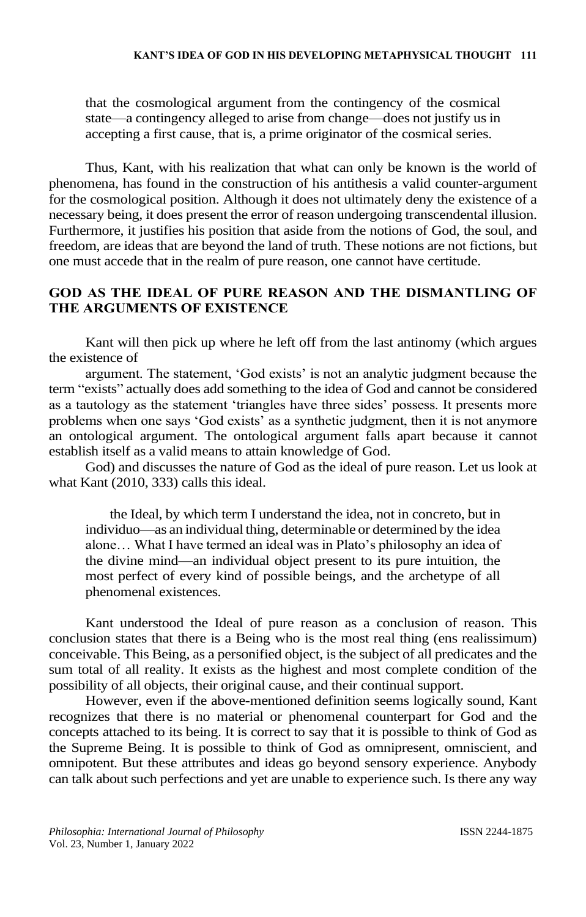that the cosmological argument from the contingency of the cosmical state—a contingency alleged to arise from change—does not justify us in accepting a first cause, that is, a prime originator of the cosmical series.

Thus, Kant, with his realization that what can only be known is the world of phenomena, has found in the construction of his antithesis a valid counter-argument for the cosmological position. Although it does not ultimately deny the existence of a necessary being, it does present the error of reason undergoing transcendental illusion. Furthermore, it justifies his position that aside from the notions of God, the soul, and freedom, are ideas that are beyond the land of truth. These notions are not fictions, but one must accede that in the realm of pure reason, one cannot have certitude.

## **GOD AS THE IDEAL OF PURE REASON AND THE DISMANTLING OF THE ARGUMENTS OF EXISTENCE**

Kant will then pick up where he left off from the last antinomy (which argues the existence of

argument. The statement, 'God exists' is not an analytic judgment because the term "exists" actually does add something to the idea of God and cannot be considered as a tautology as the statement 'triangles have three sides' possess. It presents more problems when one says 'God exists' as a synthetic judgment, then it is not anymore an ontological argument. The ontological argument falls apart because it cannot establish itself as a valid means to attain knowledge of God.

God) and discusses the nature of God as the ideal of pure reason. Let us look at what Kant (2010, 333) calls this ideal.

the Ideal, by which term I understand the idea, not in concreto, but in individuo—as an individual thing, determinable or determined by the idea alone… What I have termed an ideal was in Plato's philosophy an idea of the divine mind—an individual object present to its pure intuition, the most perfect of every kind of possible beings, and the archetype of all phenomenal existences.

Kant understood the Ideal of pure reason as a conclusion of reason. This conclusion states that there is a Being who is the most real thing (ens realissimum) conceivable. This Being, as a personified object, is the subject of all predicates and the sum total of all reality. It exists as the highest and most complete condition of the possibility of all objects, their original cause, and their continual support.

However, even if the above-mentioned definition seems logically sound, Kant recognizes that there is no material or phenomenal counterpart for God and the concepts attached to its being. It is correct to say that it is possible to think of God as the Supreme Being. It is possible to think of God as omnipresent, omniscient, and omnipotent. But these attributes and ideas go beyond sensory experience. Anybody can talk about such perfections and yet are unable to experience such. Is there any way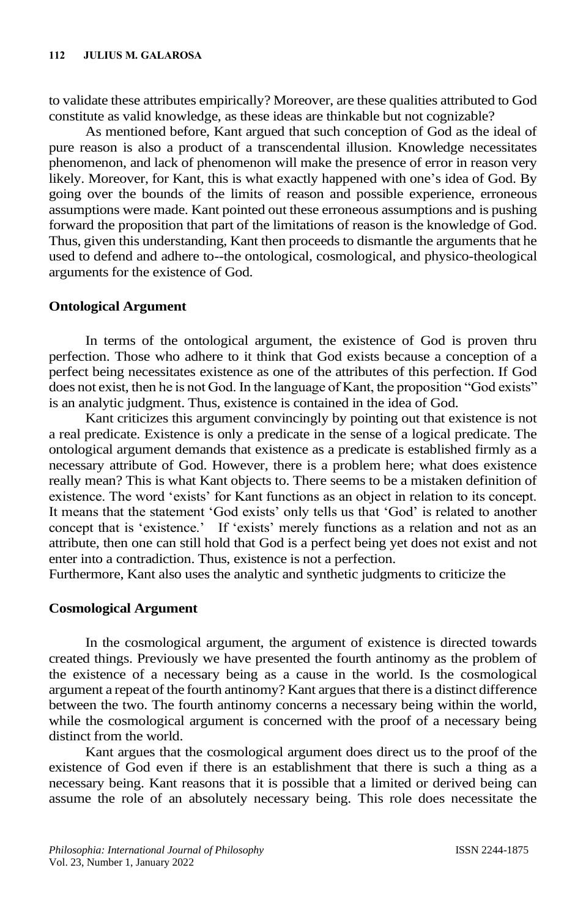to validate these attributes empirically? Moreover, are these qualities attributed to God constitute as valid knowledge, as these ideas are thinkable but not cognizable?

As mentioned before, Kant argued that such conception of God as the ideal of pure reason is also a product of a transcendental illusion. Knowledge necessitates phenomenon, and lack of phenomenon will make the presence of error in reason very likely. Moreover, for Kant, this is what exactly happened with one's idea of God. By going over the bounds of the limits of reason and possible experience, erroneous assumptions were made. Kant pointed out these erroneous assumptions and is pushing forward the proposition that part of the limitations of reason is the knowledge of God. Thus, given this understanding, Kant then proceeds to dismantle the arguments that he used to defend and adhere to--the ontological, cosmological, and physico-theological arguments for the existence of God.

## **Ontological Argument**

In terms of the ontological argument, the existence of God is proven thru perfection. Those who adhere to it think that God exists because a conception of a perfect being necessitates existence as one of the attributes of this perfection. If God does not exist, then he is not God. In the language of Kant, the proposition "God exists" is an analytic judgment. Thus, existence is contained in the idea of God.

Kant criticizes this argument convincingly by pointing out that existence is not a real predicate. Existence is only a predicate in the sense of a logical predicate. The ontological argument demands that existence as a predicate is established firmly as a necessary attribute of God. However, there is a problem here; what does existence really mean? This is what Kant objects to. There seems to be a mistaken definition of existence. The word 'exists' for Kant functions as an object in relation to its concept. It means that the statement 'God exists' only tells us that 'God' is related to another concept that is 'existence.' If 'exists' merely functions as a relation and not as an attribute, then one can still hold that God is a perfect being yet does not exist and not enter into a contradiction. Thus, existence is not a perfection.

Furthermore, Kant also uses the analytic and synthetic judgments to criticize the

## **Cosmological Argument**

In the cosmological argument, the argument of existence is directed towards created things. Previously we have presented the fourth antinomy as the problem of the existence of a necessary being as a cause in the world. Is the cosmological argument a repeat of the fourth antinomy? Kant argues that there is a distinct difference between the two. The fourth antinomy concerns a necessary being within the world, while the cosmological argument is concerned with the proof of a necessary being distinct from the world.

Kant argues that the cosmological argument does direct us to the proof of the existence of God even if there is an establishment that there is such a thing as a necessary being. Kant reasons that it is possible that a limited or derived being can assume the role of an absolutely necessary being. This role does necessitate the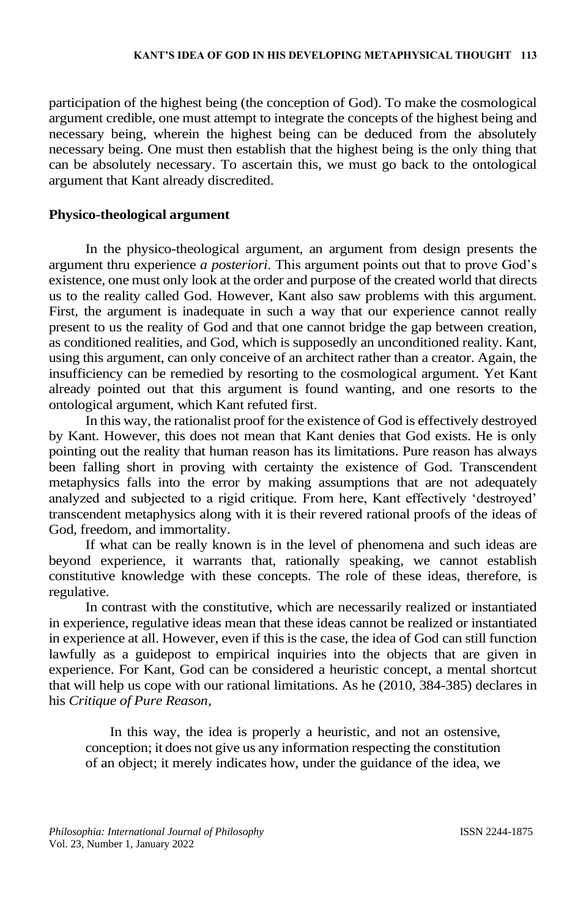participation of the highest being (the conception of God). To make the cosmological argument credible, one must attempt to integrate the concepts of the highest being and necessary being, wherein the highest being can be deduced from the absolutely necessary being. One must then establish that the highest being is the only thing that can be absolutely necessary. To ascertain this, we must go back to the ontological argument that Kant already discredited.

## **Physico-theological argument**

In the physico-theological argument, an argument from design presents the argument thru experience *a posteriori*. This argument points out that to prove God's existence, one must only look at the order and purpose of the created world that directs us to the reality called God. However, Kant also saw problems with this argument. First, the argument is inadequate in such a way that our experience cannot really present to us the reality of God and that one cannot bridge the gap between creation, as conditioned realities, and God, which is supposedly an unconditioned reality. Kant, using this argument, can only conceive of an architect rather than a creator. Again, the insufficiency can be remedied by resorting to the cosmological argument. Yet Kant already pointed out that this argument is found wanting, and one resorts to the ontological argument, which Kant refuted first.

In this way, the rationalist proof for the existence of God is effectively destroyed by Kant. However, this does not mean that Kant denies that God exists. He is only pointing out the reality that human reason has its limitations. Pure reason has always been falling short in proving with certainty the existence of God. Transcendent metaphysics falls into the error by making assumptions that are not adequately analyzed and subjected to a rigid critique. From here, Kant effectively 'destroyed' transcendent metaphysics along with it is their revered rational proofs of the ideas of God, freedom, and immortality.

If what can be really known is in the level of phenomena and such ideas are beyond experience, it warrants that, rationally speaking, we cannot establish constitutive knowledge with these concepts. The role of these ideas, therefore, is regulative.

In contrast with the constitutive, which are necessarily realized or instantiated in experience, regulative ideas mean that these ideas cannot be realized or instantiated in experience at all. However, even if this is the case, the idea of God can still function lawfully as a guidepost to empirical inquiries into the objects that are given in experience. For Kant, God can be considered a heuristic concept, a mental shortcut that will help us cope with our rational limitations. As he (2010, 384-385) declares in his *Critique of Pure Reason*,

In this way, the idea is properly a heuristic, and not an ostensive, conception; it does not give us any information respecting the constitution of an object; it merely indicates how, under the guidance of the idea, we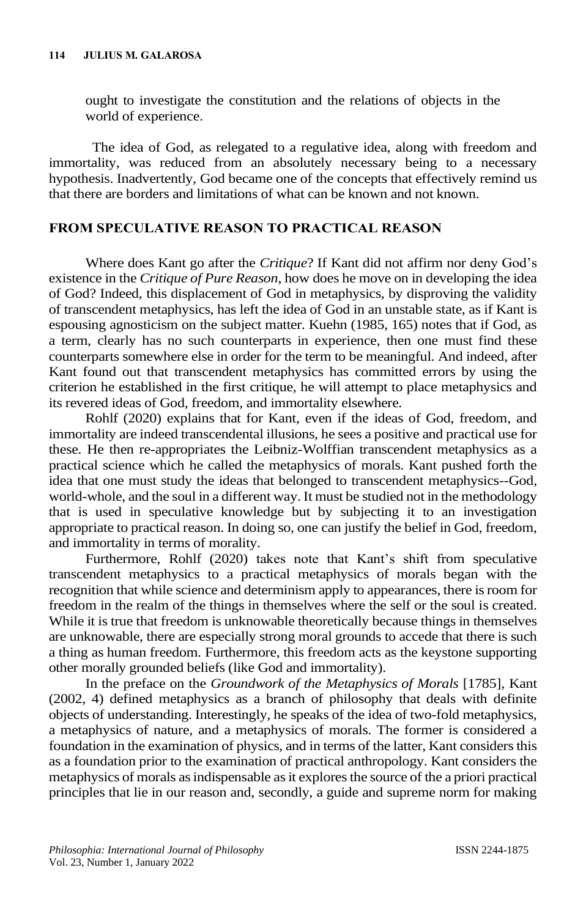ought to investigate the constitution and the relations of objects in the world of experience.

The idea of God, as relegated to a regulative idea, along with freedom and immortality, was reduced from an absolutely necessary being to a necessary hypothesis. Inadvertently, God became one of the concepts that effectively remind us that there are borders and limitations of what can be known and not known.

## **FROM SPECULATIVE REASON TO PRACTICAL REASON**

Where does Kant go after the *Critique*? If Kant did not affirm nor deny God's existence in the *Critique of Pure Reason*, how does he move on in developing the idea of God? Indeed, this displacement of God in metaphysics, by disproving the validity of transcendent metaphysics, has left the idea of God in an unstable state, as if Kant is espousing agnosticism on the subject matter. Kuehn (1985, 165) notes that if God, as a term, clearly has no such counterparts in experience, then one must find these counterparts somewhere else in order for the term to be meaningful. And indeed, after Kant found out that transcendent metaphysics has committed errors by using the criterion he established in the first critique, he will attempt to place metaphysics and its revered ideas of God, freedom, and immortality elsewhere.

Rohlf (2020) explains that for Kant, even if the ideas of God, freedom, and immortality are indeed transcendental illusions, he sees a positive and practical use for these. He then re-appropriates the Leibniz-Wolffian transcendent metaphysics as a practical science which he called the metaphysics of morals. Kant pushed forth the idea that one must study the ideas that belonged to transcendent metaphysics--God, world-whole, and the soul in a different way. It must be studied not in the methodology that is used in speculative knowledge but by subjecting it to an investigation appropriate to practical reason. In doing so, one can justify the belief in God, freedom, and immortality in terms of morality.

Furthermore, Rohlf (2020) takes note that Kant's shift from speculative transcendent metaphysics to a practical metaphysics of morals began with the recognition that while science and determinism apply to appearances, there is room for freedom in the realm of the things in themselves where the self or the soul is created. While it is true that freedom is unknowable theoretically because things in themselves are unknowable, there are especially strong moral grounds to accede that there is such a thing as human freedom. Furthermore, this freedom acts as the keystone supporting other morally grounded beliefs (like God and immortality).

In the preface on the *Groundwork of the Metaphysics of Morals* [1785], Kant (2002, 4) defined metaphysics as a branch of philosophy that deals with definite objects of understanding. Interestingly, he speaks of the idea of two-fold metaphysics, a metaphysics of nature, and a metaphysics of morals. The former is considered a foundation in the examination of physics, and in terms of the latter, Kant considers this as a foundation prior to the examination of practical anthropology. Kant considers the metaphysics of morals as indispensable as it explores the source of the a priori practical principles that lie in our reason and, secondly, a guide and supreme norm for making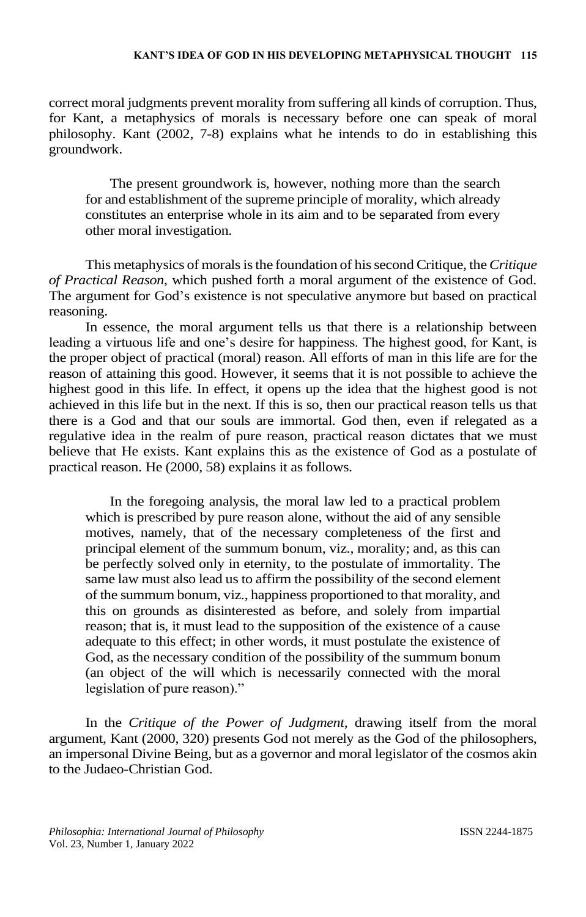correct moral judgments prevent morality from suffering all kinds of corruption. Thus, for Kant, a metaphysics of morals is necessary before one can speak of moral philosophy. Kant (2002, 7-8) explains what he intends to do in establishing this groundwork.

The present groundwork is, however, nothing more than the search for and establishment of the supreme principle of morality, which already constitutes an enterprise whole in its aim and to be separated from every other moral investigation.

This metaphysics of morals is the foundation of his second Critique, the *Critique of Practical Reason*, which pushed forth a moral argument of the existence of God. The argument for God's existence is not speculative anymore but based on practical reasoning.

In essence, the moral argument tells us that there is a relationship between leading a virtuous life and one's desire for happiness. The highest good, for Kant, is the proper object of practical (moral) reason. All efforts of man in this life are for the reason of attaining this good. However, it seems that it is not possible to achieve the highest good in this life. In effect, it opens up the idea that the highest good is not achieved in this life but in the next. If this is so, then our practical reason tells us that there is a God and that our souls are immortal. God then, even if relegated as a regulative idea in the realm of pure reason, practical reason dictates that we must believe that He exists. Kant explains this as the existence of God as a postulate of practical reason. He (2000, 58) explains it as follows.

In the foregoing analysis, the moral law led to a practical problem which is prescribed by pure reason alone, without the aid of any sensible motives, namely, that of the necessary completeness of the first and principal element of the summum bonum, viz., morality; and, as this can be perfectly solved only in eternity, to the postulate of immortality. The same law must also lead us to affirm the possibility of the second element of the summum bonum, viz., happiness proportioned to that morality, and this on grounds as disinterested as before, and solely from impartial reason; that is, it must lead to the supposition of the existence of a cause adequate to this effect; in other words, it must postulate the existence of God, as the necessary condition of the possibility of the summum bonum (an object of the will which is necessarily connected with the moral legislation of pure reason)."

In the *Critique of the Power of Judgment*, drawing itself from the moral argument, Kant (2000, 320) presents God not merely as the God of the philosophers, an impersonal Divine Being, but as a governor and moral legislator of the cosmos akin to the Judaeo-Christian God.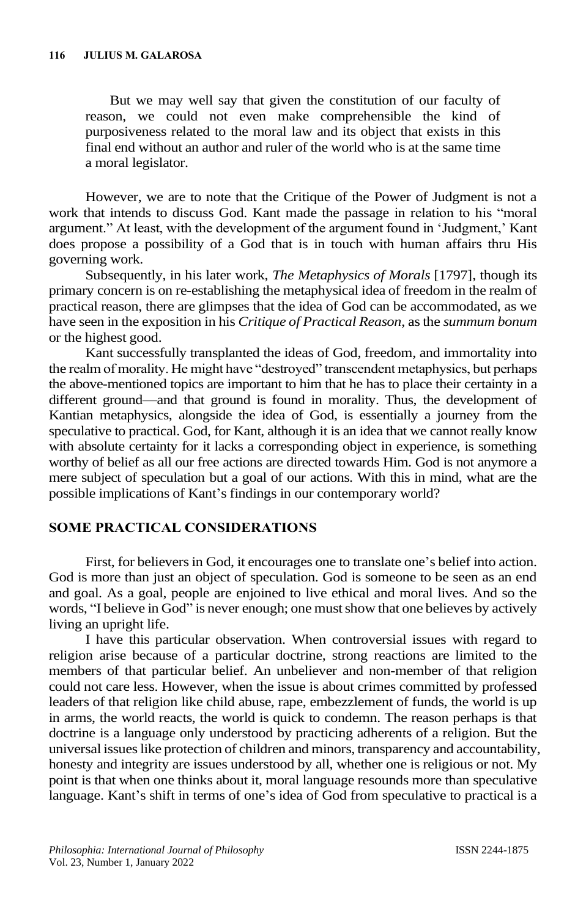But we may well say that given the constitution of our faculty of reason, we could not even make comprehensible the kind of purposiveness related to the moral law and its object that exists in this final end without an author and ruler of the world who is at the same time a moral legislator.

However, we are to note that the Critique of the Power of Judgment is not a work that intends to discuss God. Kant made the passage in relation to his "moral argument." At least, with the development of the argument found in 'Judgment,' Kant does propose a possibility of a God that is in touch with human affairs thru His governing work.

Subsequently, in his later work, *The Metaphysics of Morals* [1797], though its primary concern is on re-establishing the metaphysical idea of freedom in the realm of practical reason, there are glimpses that the idea of God can be accommodated, as we have seen in the exposition in his *Critique of Practical Reason*, as the *summum bonum* or the highest good.

Kant successfully transplanted the ideas of God, freedom, and immortality into the realm of morality. He might have "destroyed" transcendent metaphysics, but perhaps the above-mentioned topics are important to him that he has to place their certainty in a different ground—and that ground is found in morality. Thus, the development of Kantian metaphysics, alongside the idea of God, is essentially a journey from the speculative to practical. God, for Kant, although it is an idea that we cannot really know with absolute certainty for it lacks a corresponding object in experience, is something worthy of belief as all our free actions are directed towards Him. God is not anymore a mere subject of speculation but a goal of our actions. With this in mind, what are the possible implications of Kant's findings in our contemporary world?

## **SOME PRACTICAL CONSIDERATIONS**

First, for believers in God, it encourages one to translate one's belief into action. God is more than just an object of speculation. God is someone to be seen as an end and goal. As a goal, people are enjoined to live ethical and moral lives. And so the words, "I believe in God" is never enough; one must show that one believes by actively living an upright life.

I have this particular observation. When controversial issues with regard to religion arise because of a particular doctrine, strong reactions are limited to the members of that particular belief. An unbeliever and non-member of that religion could not care less. However, when the issue is about crimes committed by professed leaders of that religion like child abuse, rape, embezzlement of funds, the world is up in arms, the world reacts, the world is quick to condemn. The reason perhaps is that doctrine is a language only understood by practicing adherents of a religion. But the universal issues like protection of children and minors, transparency and accountability, honesty and integrity are issues understood by all, whether one is religious or not. My point is that when one thinks about it, moral language resounds more than speculative language. Kant's shift in terms of one's idea of God from speculative to practical is a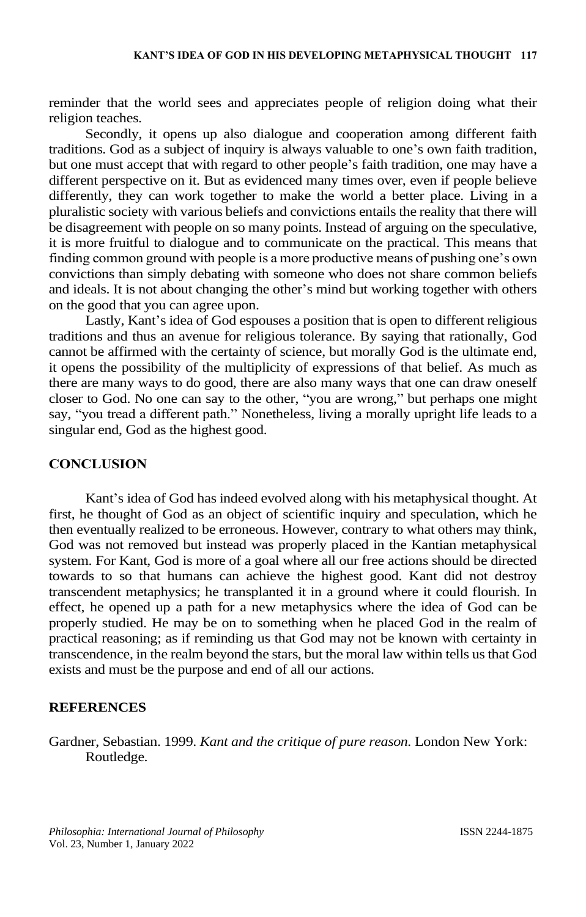reminder that the world sees and appreciates people of religion doing what their religion teaches.

Secondly, it opens up also dialogue and cooperation among different faith traditions. God as a subject of inquiry is always valuable to one's own faith tradition, but one must accept that with regard to other people's faith tradition, one may have a different perspective on it. But as evidenced many times over, even if people believe differently, they can work together to make the world a better place. Living in a pluralistic society with various beliefs and convictions entails the reality that there will be disagreement with people on so many points. Instead of arguing on the speculative, it is more fruitful to dialogue and to communicate on the practical. This means that finding common ground with people is a more productive means of pushing one's own convictions than simply debating with someone who does not share common beliefs and ideals. It is not about changing the other's mind but working together with others on the good that you can agree upon.

Lastly, Kant's idea of God espouses a position that is open to different religious traditions and thus an avenue for religious tolerance. By saying that rationally, God cannot be affirmed with the certainty of science, but morally God is the ultimate end, it opens the possibility of the multiplicity of expressions of that belief. As much as there are many ways to do good, there are also many ways that one can draw oneself closer to God. No one can say to the other, "you are wrong," but perhaps one might say, "you tread a different path." Nonetheless, living a morally upright life leads to a singular end, God as the highest good.

#### **CONCLUSION**

Kant's idea of God has indeed evolved along with his metaphysical thought. At first, he thought of God as an object of scientific inquiry and speculation, which he then eventually realized to be erroneous. However, contrary to what others may think, God was not removed but instead was properly placed in the Kantian metaphysical system. For Kant, God is more of a goal where all our free actions should be directed towards to so that humans can achieve the highest good. Kant did not destroy transcendent metaphysics; he transplanted it in a ground where it could flourish. In effect, he opened up a path for a new metaphysics where the idea of God can be properly studied. He may be on to something when he placed God in the realm of practical reasoning; as if reminding us that God may not be known with certainty in transcendence, in the realm beyond the stars, but the moral law within tells us that God exists and must be the purpose and end of all our actions.

#### **REFERENCES**

Gardner, Sebastian. 1999. *Kant and the critique of pure reason.* London New York: Routledge.